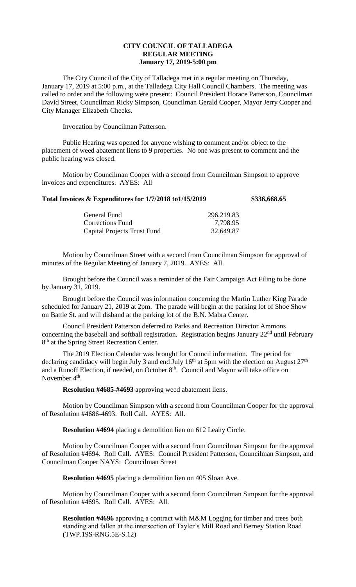## **CITY COUNCIL OF TALLADEGA REGULAR MEETING January 17, 2019-5:00 pm**

The City Council of the City of Talladega met in a regular meeting on Thursday, January 17, 2019 at 5:00 p.m., at the Talladega City Hall Council Chambers. The meeting was called to order and the following were present: Council President Horace Patterson, Councilman David Street, Councilman Ricky Simpson, Councilman Gerald Cooper, Mayor Jerry Cooper and City Manager Elizabeth Cheeks.

Invocation by Councilman Patterson.

Public Hearing was opened for anyone wishing to comment and/or object to the placement of weed abatement liens to 9 properties. No one was present to comment and the public hearing was closed.

Motion by Councilman Cooper with a second from Councilman Simpson to approve invoices and expenditures. AYES: All

| Total Invoices & Expenditures for 1/7/2018 to1/15/2019 | \$336,668.65 |
|--------------------------------------------------------|--------------|
|--------------------------------------------------------|--------------|

| General Fund                       | 296,219.83 |
|------------------------------------|------------|
| Corrections Fund                   | 7,798.95   |
| <b>Capital Projects Trust Fund</b> | 32,649.87  |

Motion by Councilman Street with a second from Councilman Simpson for approval of minutes of the Regular Meeting of January 7, 2019. AYES: All.

Brought before the Council was a reminder of the Fair Campaign Act Filing to be done by January 31, 2019.

Brought before the Council was information concerning the Martin Luther King Parade scheduled for January 21, 2019 at 2pm. The parade will begin at the parking lot of Shoe Show on Battle St. and will disband at the parking lot of the B.N. Mabra Center.

Council President Patterson deferred to Parks and Recreation Director Ammons concerning the baseball and softball registration. Registration begins January 22<sup>nd</sup> until February 8<sup>th</sup> at the Spring Street Recreation Center.

The 2019 Election Calendar was brought for Council information. The period for declaring candidacy will begin July 3 and end July  $16<sup>th</sup>$  at 5pm with the election on August  $27<sup>th</sup>$ and a Runoff Election, if needed, on October 8<sup>th</sup>. Council and Mayor will take office on November  $4^{\text{th}}$ .

**Resolution #4685-#4693** approving weed abatement liens.

Motion by Councilman Simpson with a second from Councilman Cooper for the approval of Resolution #4686-4693. Roll Call. AYES: All.

**Resolution #4694** placing a demolition lien on 612 Leahy Circle.

Motion by Councilman Cooper with a second from Councilman Simpson for the approval of Resolution #4694. Roll Call. AYES: Council President Patterson, Councilman Simpson, and Councilman Cooper NAYS: Councilman Street

**Resolution #4695** placing a demolition lien on 405 Sloan Ave.

Motion by Councilman Cooper with a second form Councilman Simpson for the approval of Resolution #4695. Roll Call. AYES: All.

**Resolution #4696** approving a contract with M&M Logging for timber and trees both standing and fallen at the intersection of Tayler's Mill Road and Berney Station Road (TWP.19S-RNG.5E-S.12)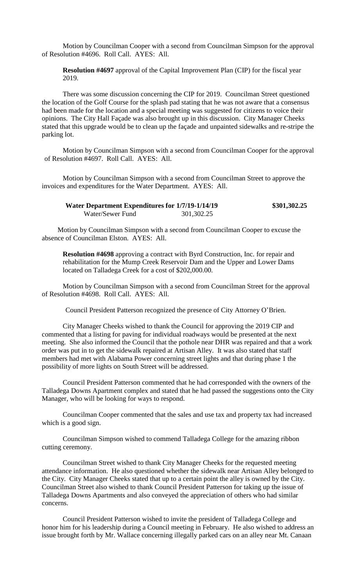Motion by Councilman Cooper with a second from Councilman Simpson for the approval of Resolution #4696. Roll Call. AYES: All.

**Resolution #4697** approval of the Capital Improvement Plan (CIP) for the fiscal year 2019.

There was some discussion concerning the CIP for 2019. Councilman Street questioned the location of the Golf Course for the splash pad stating that he was not aware that a consensus had been made for the location and a special meeting was suggested for citizens to voice their opinions. The City Hall Façade was also brought up in this discussion. City Manager Cheeks stated that this upgrade would be to clean up the façade and unpainted sidewalks and re-stripe the parking lot.

Motion by Councilman Simpson with a second from Councilman Cooper for the approval of Resolution #4697. Roll Call. AYES: All.

Motion by Councilman Simpson with a second from Councilman Street to approve the invoices and expenditures for the Water Department. AYES: All.

| Water Department Expenditures for 1/7/19-1/14/19 |            | \$301,302.25 |
|--------------------------------------------------|------------|--------------|
| Water/Sewer Fund                                 | 301,302.25 |              |

Motion by Councilman Simpson with a second from Councilman Cooper to excuse the absence of Councilman Elston. AYES: All.

**Resolution #4698** approving a contract with Byrd Construction, Inc. for repair and rehabilitation for the Mump Creek Reservoir Dam and the Upper and Lower Dams located on Talladega Creek for a cost of \$202,000.00.

Motion by Councilman Simpson with a second from Councilman Street for the approval of Resolution #4698. Roll Call. AYES: All.

Council President Patterson recognized the presence of City Attorney O'Brien.

City Manager Cheeks wished to thank the Council for approving the 2019 CIP and commented that a listing for paving for individual roadways would be presented at the next meeting. She also informed the Council that the pothole near DHR was repaired and that a work order was put in to get the sidewalk repaired at Artisan Alley. It was also stated that staff members had met with Alabama Power concerning street lights and that during phase 1 the possibility of more lights on South Street will be addressed.

Council President Patterson commented that he had corresponded with the owners of the Talladega Downs Apartment complex and stated that he had passed the suggestions onto the City Manager, who will be looking for ways to respond.

Councilman Cooper commented that the sales and use tax and property tax had increased which is a good sign.

Councilman Simpson wished to commend Talladega College for the amazing ribbon cutting ceremony.

Councilman Street wished to thank City Manager Cheeks for the requested meeting attendance information. He also questioned whether the sidewalk near Artisan Alley belonged to the City. City Manager Cheeks stated that up to a certain point the alley is owned by the City. Councilman Street also wished to thank Council President Patterson for taking up the issue of Talladega Downs Apartments and also conveyed the appreciation of others who had similar concerns.

Council President Patterson wished to invite the president of Talladega College and honor him for his leadership during a Council meeting in February. He also wished to address an issue brought forth by Mr. Wallace concerning illegally parked cars on an alley near Mt. Canaan